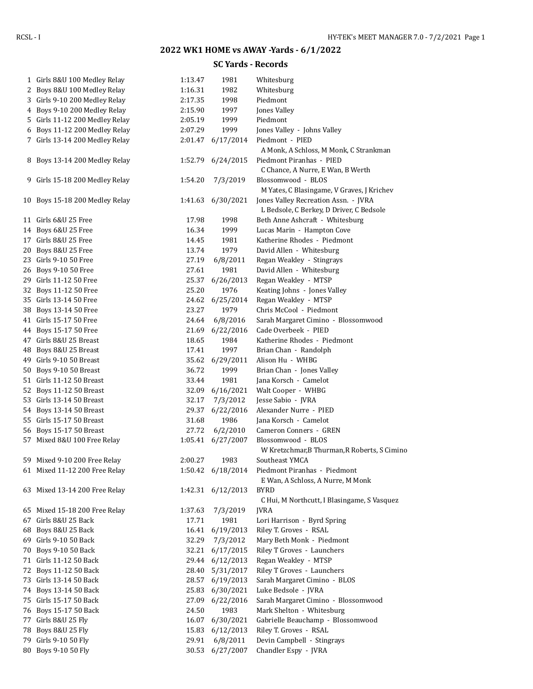## **2022 WK1 HOME vs AWAY -Yards - 6/1/2022**

## **SC Yards - Records**

|    | 1 Girls 8&U 100 Medley Relay                       | 1:13.47 | 1981              | Whitesburg                                   |
|----|----------------------------------------------------|---------|-------------------|----------------------------------------------|
|    | 2 Boys 8&U 100 Medley Relay                        | 1:16.31 | 1982              | Whitesburg                                   |
| 3  | Girls 9-10 200 Medley Relay                        | 2:17.35 | 1998              | Piedmont                                     |
| 4  | Boys 9-10 200 Medley Relay                         | 2:15.90 | 1997              | Jones Valley                                 |
|    | 5 Girls 11-12 200 Medley Relay                     | 2:05.19 | 1999              | Piedmont                                     |
| 6  | Boys 11-12 200 Medley Relay                        | 2:07.29 | 1999              | Jones Valley - Johns Valley                  |
|    | 7 Girls 13-14 200 Medley Relay                     | 2:01.47 | 6/17/2014         | Piedmont - PIED                              |
|    |                                                    |         |                   | A Monk, A Schloss, M Monk, C Strankman       |
|    | 8 Boys 13-14 200 Medley Relay                      | 1:52.79 | 6/24/2015         | Piedmont Piranhas - PIED                     |
|    |                                                    |         |                   | C Chance, A Nurre, E Wan, B Werth            |
| 9. | Girls 15-18 200 Medley Relay                       | 1:54.20 | 7/3/2019          | Blossomwood - BLOS                           |
|    |                                                    |         |                   | M Yates, C Blasingame, V Graves, J Krichev   |
|    | 10 Boys 15-18 200 Medley Relay                     | 1:41.63 | 6/30/2021         | Jones Valley Recreation Assn. - JVRA         |
|    |                                                    |         |                   | L Bedsole, C Berkey, D Driver, C Bedsole     |
|    | 11 Girls 6&U 25 Free                               | 17.98   | 1998              | Beth Anne Ashcraft - Whitesburg              |
|    | 14 Boys 6&U 25 Free                                | 16.34   | 1999              | Lucas Marin - Hampton Cove                   |
|    | 17 Girls 8&U 25 Free                               | 14.45   | 1981              | Katherine Rhodes - Piedmont                  |
|    | 20 Boys 8&U 25 Free                                | 13.74   | 1979              | David Allen - Whitesburg                     |
|    | 23 Girls 9-10 50 Free                              | 27.19   | 6/8/2011          | Regan Weakley - Stingrays                    |
|    | 26 Boys 9-10 50 Free                               | 27.61   | 1981              | David Allen - Whitesburg                     |
|    | 29 Girls 11-12 50 Free                             | 25.37   | 6/26/2013         | Regan Weakley - MTSP                         |
|    | 32 Boys 11-12 50 Free                              | 25.20   | 1976              | Keating Johns - Jones Valley                 |
|    | 35 Girls 13-14 50 Free                             | 24.62   | 6/25/2014         | Regan Weakley - MTSP                         |
|    | 38 Boys 13-14 50 Free                              | 23.27   | 1979              | Chris McCool - Piedmont                      |
|    | 41 Girls 15-17 50 Free                             | 24.64   | 6/8/2016          | Sarah Margaret Cimino - Blossomwood          |
|    | 44 Boys 15-17 50 Free                              | 21.69   | 6/22/2016         | Cade Overbeek - PIED                         |
|    | 47 Girls 8&U 25 Breast                             | 18.65   | 1984              | Katherine Rhodes - Piedmont                  |
|    | 48 Boys 8&U 25 Breast                              | 17.41   | 1997              | Brian Chan - Randolph                        |
|    | 49 Girls 9-10 50 Breast                            | 35.62   | 6/29/2011         | Alison Hu - WHBG                             |
|    |                                                    |         | 1999              |                                              |
|    | 50 Boys 9-10 50 Breast<br>51 Girls 11-12 50 Breast | 36.72   | 1981              | Brian Chan - Jones Valley                    |
|    |                                                    | 33.44   |                   | Jana Korsch - Camelot                        |
|    | 52 Boys 11-12 50 Breast                            | 32.09   | 6/16/2021         | Walt Cooper - WHBG                           |
|    | 53 Girls 13-14 50 Breast                           | 32.17   | 7/3/2012          | Jesse Sabio - JVRA                           |
|    | 54 Boys 13-14 50 Breast                            | 29.37   | 6/22/2016         | Alexander Nurre - PIED                       |
|    | 55 Girls 15-17 50 Breast                           | 31.68   | 1986              | Jana Korsch - Camelot                        |
|    | 56 Boys 15-17 50 Breast                            | 27.72   | 6/2/2010          | Cameron Conners - GREN                       |
|    | 57 Mixed 8&U 100 Free Relay                        | 1:05.41 | 6/27/2007         | Blossomwood - BLOS                           |
|    |                                                    |         |                   | W Kretzchmar, B Thurman, R Roberts, S Cimino |
|    | 59 Mixed 9-10 200 Free Relay                       | 2:00.27 | 1983              | Southeast YMCA                               |
|    | 61 Mixed 11-12 200 Free Relay                      |         | 1:50.42 6/18/2014 | Piedmont Piranhas - Piedmont                 |
|    |                                                    |         |                   | E Wan, A Schloss, A Nurre, M Monk            |
|    | 63 Mixed 13-14 200 Free Relay                      | 1:42.31 | 6/12/2013         | <b>BYRD</b>                                  |
|    |                                                    |         |                   | C Hui, M Northcutt, I Blasingame, S Vasquez  |
|    | 65 Mixed 15-18 200 Free Relay                      | 1:37.63 | 7/3/2019          | <b>IVRA</b>                                  |
| 67 | Girls 8&U 25 Back                                  | 17.71   | 1981              | Lori Harrison - Byrd Spring                  |
| 68 | Boys 8&U 25 Back                                   | 16.41   | 6/19/2013         | Riley T. Groves - RSAL                       |
|    | 69 Girls 9-10 50 Back                              | 32.29   | 7/3/2012          | Mary Beth Monk - Piedmont                    |
| 70 | Boys 9-10 50 Back                                  | 32.21   | 6/17/2015         | Riley T Groves - Launchers                   |
|    | 71 Girls 11-12 50 Back                             | 29.44   | 6/12/2013         | Regan Weakley - MTSP                         |
| 72 | Boys 11-12 50 Back                                 | 28.40   | 5/31/2017         | Riley T Groves - Launchers                   |
| 73 | Girls 13-14 50 Back                                | 28.57   | 6/19/2013         | Sarah Margaret Cimino - BLOS                 |
| 74 | Boys 13-14 50 Back                                 | 25.83   | 6/30/2021         | Luke Bedsole - JVRA                          |
| 75 | Girls 15-17 50 Back                                | 27.09   | 6/22/2016         | Sarah Margaret Cimino - Blossomwood          |
| 76 | Boys 15-17 50 Back                                 | 24.50   | 1983              | Mark Shelton - Whitesburg                    |
| 77 | Girls 8&U 25 Fly                                   | 16.07   | 6/30/2021         | Gabrielle Beauchamp - Blossomwood            |
| 78 | Boys 8&U 25 Fly                                    | 15.83   | 6/12/2013         | Riley T. Groves - RSAL                       |
| 79 | Girls 9-10 50 Fly                                  | 29.91   | 6/8/2011          | Devin Campbell - Stingrays                   |
| 80 | Boys 9-10 50 Fly                                   | 30.53   | 6/27/2007         | Chandler Espy - JVRA                         |